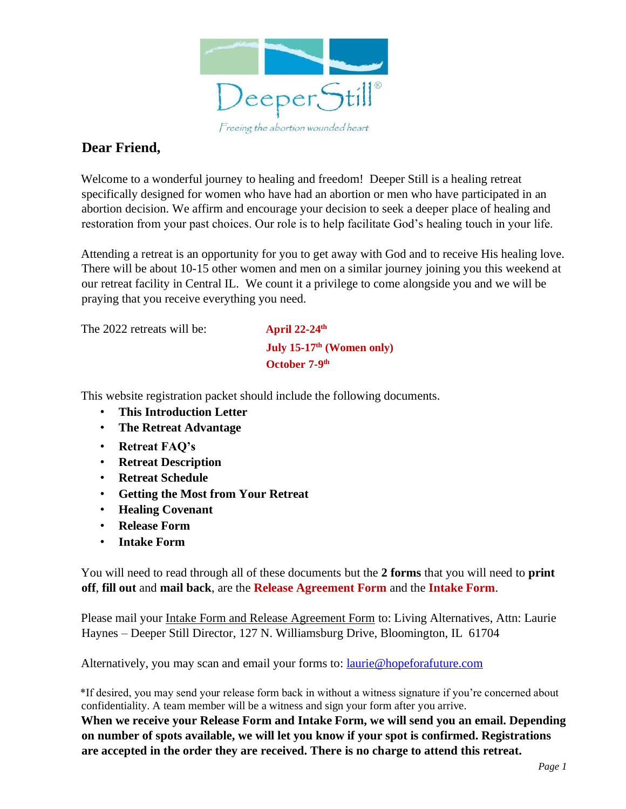

#### **Dear Friend,**

Welcome to a wonderful journey to healing and freedom! Deeper Still is a healing retreat specifically designed for women who have had an abortion or men who have participated in an abortion decision. We affirm and encourage your decision to seek a deeper place of healing and restoration from your past choices. Our role is to help facilitate God's healing touch in your life.

Attending a retreat is an opportunity for you to get away with God and to receive His healing love. There will be about 10-15 other women and men on a similar journey joining you this weekend at our retreat facility in Central IL. We count it a privilege to come alongside you and we will be praying that you receive everything you need.

The 2022 retreats will be: **April 22-24th**

 **July 15-17th (Women only) October 7-9<sup>th</sup>** 

This website registration packet should include the following documents.

- **This Introduction Letter**
- **The Retreat Advantage**
- **Retreat FAQ's**
- **Retreat Description**
- **Retreat Schedule**
- **Getting the Most from Your Retreat**
- **Healing Covenant**
- **Release Form**
- **Intake Form**

You will need to read through all of these documents but the **2 forms** that you will need to **print off**, **fill out** and **mail back**, are the **Release Agreement Form** and the **Intake Form**.

Please mail your Intake Form and Release Agreement Form to: Living Alternatives, Attn: Laurie Haynes – Deeper Still Director, 127 N. Williamsburg Drive, Bloomington, IL 61704

Alternatively, you may scan and email your forms to: **laurie@hopeforafuture.com** 

\*If desired, you may send your release form back in without a witness signature if you're concerned about confidentiality. A team member will be a witness and sign your form after you arrive.

**When we receive your Release Form and Intake Form, we will send you an email. Depending on number of spots available, we will let you know if your spot is confirmed. Registrations are accepted in the order they are received. There is no charge to attend this retreat.**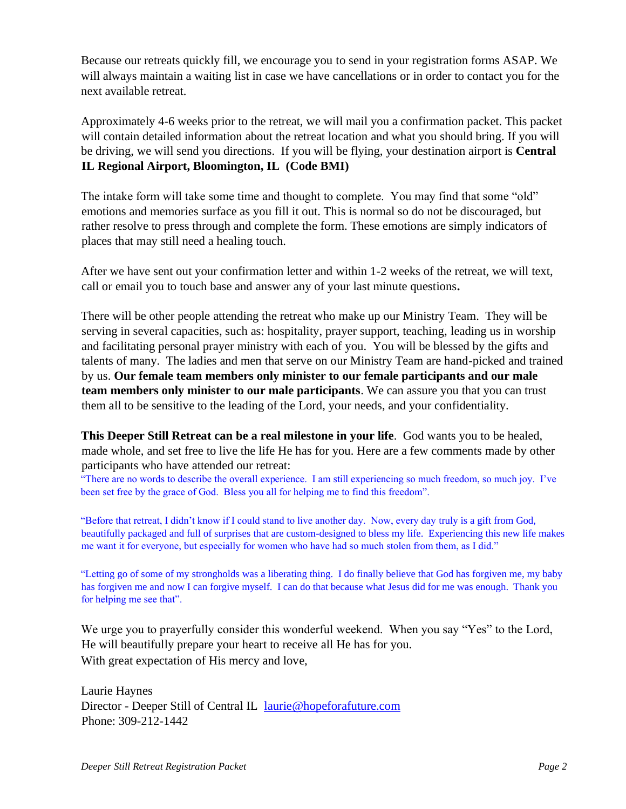Because our retreats quickly fill, we encourage you to send in your registration forms ASAP. We will always maintain a waiting list in case we have cancellations or in order to contact you for the next available retreat.

Approximately 4-6 weeks prior to the retreat, we will mail you a confirmation packet. This packet will contain detailed information about the retreat location and what you should bring. If you will be driving, we will send you directions. If you will be flying, your destination airport is **Central IL Regional Airport, Bloomington, IL (Code BMI)** 

The intake form will take some time and thought to complete. You may find that some "old" emotions and memories surface as you fill it out. This is normal so do not be discouraged, but rather resolve to press through and complete the form. These emotions are simply indicators of places that may still need a healing touch.

After we have sent out your confirmation letter and within 1-2 weeks of the retreat, we will text, call or email you to touch base and answer any of your last minute questions**.** 

There will be other people attending the retreat who make up our Ministry Team. They will be serving in several capacities, such as: hospitality, prayer support, teaching, leading us in worship and facilitating personal prayer ministry with each of you. You will be blessed by the gifts and talents of many. The ladies and men that serve on our Ministry Team are hand-picked and trained by us. **Our female team members only minister to our female participants and our male team members only minister to our male participants**. We can assure you that you can trust them all to be sensitive to the leading of the Lord, your needs, and your confidentiality.

**This Deeper Still Retreat can be a real milestone in your life**. God wants you to be healed, made whole, and set free to live the life He has for you. Here are a few comments made by other participants who have attended our retreat:

"There are no words to describe the overall experience. I am still experiencing so much freedom, so much joy. I've been set free by the grace of God. Bless you all for helping me to find this freedom".

"Before that retreat, I didn't know if I could stand to live another day. Now, every day truly is a gift from God, beautifully packaged and full of surprises that are custom-designed to bless my life. Experiencing this new life makes me want it for everyone, but especially for women who have had so much stolen from them, as I did."

"Letting go of some of my strongholds was a liberating thing. I do finally believe that God has forgiven me, my baby has forgiven me and now I can forgive myself. I can do that because what Jesus did for me was enough. Thank you for helping me see that".

We urge you to prayerfully consider this wonderful weekend. When you say "Yes" to the Lord, He will beautifully prepare your heart to receive all He has for you. With great expectation of His mercy and love,

Laurie Haynes Director - Deeper Still of Central IL laurie@hopeforafuture.com Phone: 309-212-1442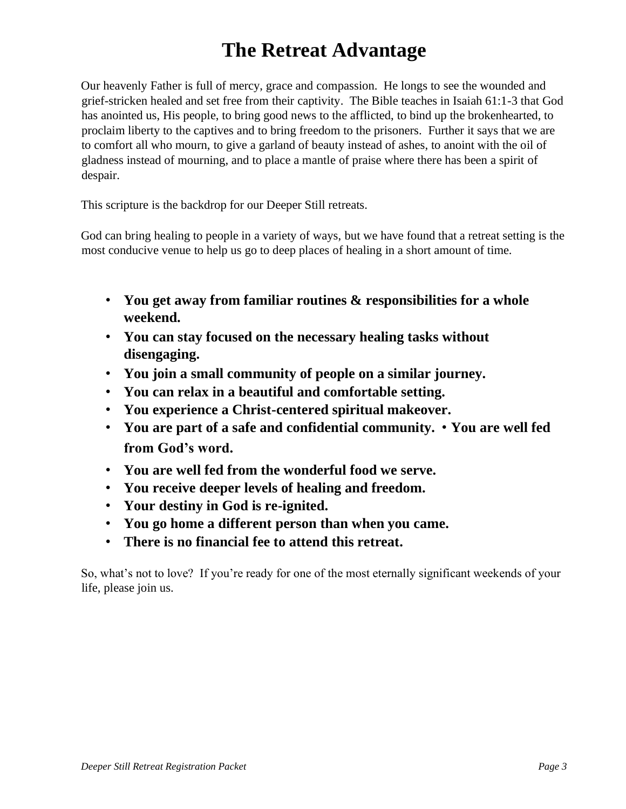# **The Retreat Advantage**

Our heavenly Father is full of mercy, grace and compassion. He longs to see the wounded and grief-stricken healed and set free from their captivity. The Bible teaches in Isaiah 61:1-3 that God has anointed us, His people, to bring good news to the afflicted, to bind up the brokenhearted, to proclaim liberty to the captives and to bring freedom to the prisoners. Further it says that we are to comfort all who mourn, to give a garland of beauty instead of ashes, to anoint with the oil of gladness instead of mourning, and to place a mantle of praise where there has been a spirit of despair.

This scripture is the backdrop for our Deeper Still retreats.

God can bring healing to people in a variety of ways, but we have found that a retreat setting is the most conducive venue to help us go to deep places of healing in a short amount of time.

- **You get away from familiar routines & responsibilities for a whole weekend.**
- **You can stay focused on the necessary healing tasks without disengaging.**
- **You join a small community of people on a similar journey.**
- **You can relax in a beautiful and comfortable setting.**
- **You experience a Christ-centered spiritual makeover.**
- **You are part of a safe and confidential community. You are well fed from God's word.**
- **You are well fed from the wonderful food we serve.**
- **You receive deeper levels of healing and freedom.**
- **Your destiny in God is re-ignited.**
- **You go home a different person than when you came.**
- **There is no financial fee to attend this retreat.**

So, what's not to love? If you're ready for one of the most eternally significant weekends of your life, please join us.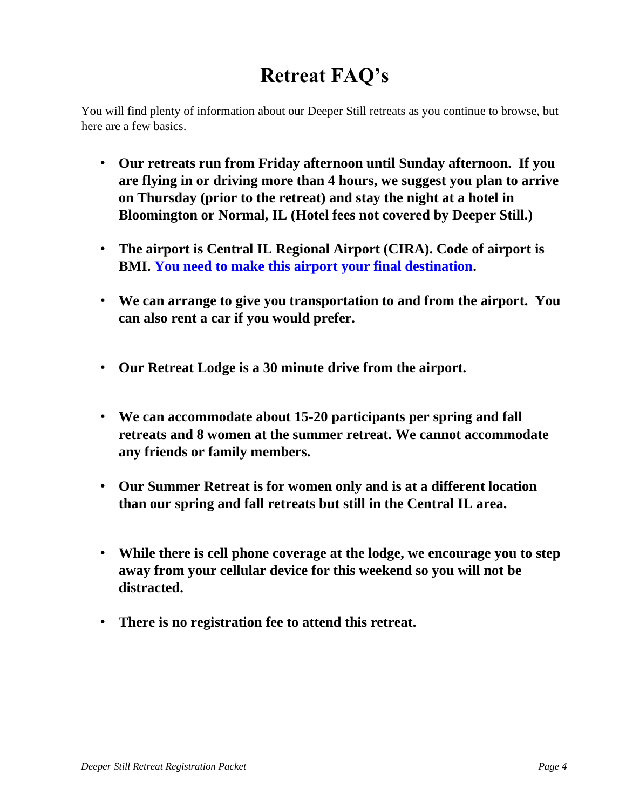# **Retreat FAQ's**

You will find plenty of information about our Deeper Still retreats as you continue to browse, but here are a few basics.

- **Our retreats run from Friday afternoon until Sunday afternoon. If you are flying in or driving more than 4 hours, we suggest you plan to arrive on Thursday (prior to the retreat) and stay the night at a hotel in Bloomington or Normal, IL (Hotel fees not covered by Deeper Still.)**
- **The airport is Central IL Regional Airport (CIRA). Code of airport is BMI. You need to make this airport your final destination.**
- **We can arrange to give you transportation to and from the airport. You can also rent a car if you would prefer.**
- **Our Retreat Lodge is a 30 minute drive from the airport.**
- **We can accommodate about 15-20 participants per spring and fall retreats and 8 women at the summer retreat. We cannot accommodate any friends or family members.**
- **Our Summer Retreat is for women only and is at a different location than our spring and fall retreats but still in the Central IL area.**
- **While there is cell phone coverage at the lodge, we encourage you to step away from your cellular device for this weekend so you will not be distracted.**
- **There is no registration fee to attend this retreat.**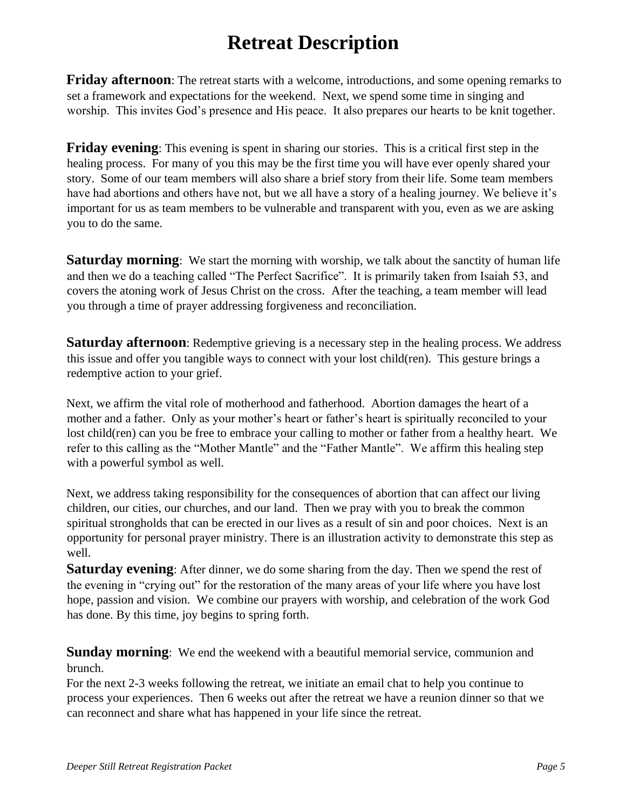## **Retreat Description**

**Friday afternoon**: The retreat starts with a welcome, introductions, and some opening remarks to set a framework and expectations for the weekend. Next, we spend some time in singing and worship. This invites God's presence and His peace. It also prepares our hearts to be knit together.

**Friday evening**: This evening is spent in sharing our stories. This is a critical first step in the healing process. For many of you this may be the first time you will have ever openly shared your story. Some of our team members will also share a brief story from their life. Some team members have had abortions and others have not, but we all have a story of a healing journey. We believe it's important for us as team members to be vulnerable and transparent with you, even as we are asking you to do the same.

**Saturday morning**: We start the morning with worship, we talk about the sanctity of human life and then we do a teaching called "The Perfect Sacrifice". It is primarily taken from Isaiah 53, and covers the atoning work of Jesus Christ on the cross. After the teaching, a team member will lead you through a time of prayer addressing forgiveness and reconciliation.

**Saturday afternoon**: Redemptive grieving is a necessary step in the healing process. We address this issue and offer you tangible ways to connect with your lost child(ren). This gesture brings a redemptive action to your grief.

Next, we affirm the vital role of motherhood and fatherhood. Abortion damages the heart of a mother and a father. Only as your mother's heart or father's heart is spiritually reconciled to your lost child(ren) can you be free to embrace your calling to mother or father from a healthy heart. We refer to this calling as the "Mother Mantle" and the "Father Mantle". We affirm this healing step with a powerful symbol as well.

Next, we address taking responsibility for the consequences of abortion that can affect our living children, our cities, our churches, and our land. Then we pray with you to break the common spiritual strongholds that can be erected in our lives as a result of sin and poor choices. Next is an opportunity for personal prayer ministry. There is an illustration activity to demonstrate this step as well.

**Saturday evening**: After dinner, we do some sharing from the day. Then we spend the rest of the evening in "crying out" for the restoration of the many areas of your life where you have lost hope, passion and vision. We combine our prayers with worship, and celebration of the work God has done. By this time, joy begins to spring forth.

**Sunday morning**: We end the weekend with a beautiful memorial service, communion and brunch.

For the next 2-3 weeks following the retreat, we initiate an email chat to help you continue to process your experiences. Then 6 weeks out after the retreat we have a reunion dinner so that we can reconnect and share what has happened in your life since the retreat.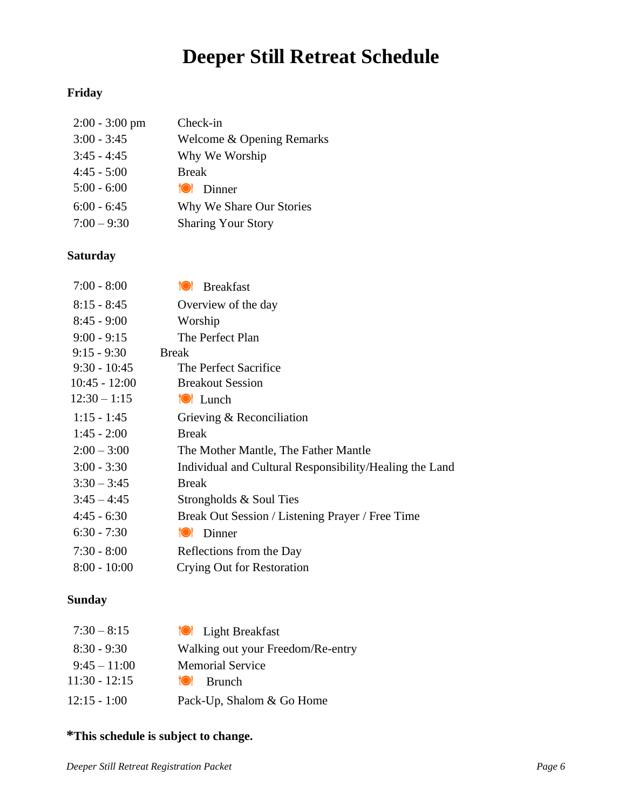# **Deeper Still Retreat Schedule**

#### **Friday**

| $2:00 - 3:00$ pm | Check-in                  |
|------------------|---------------------------|
| $3:00 - 3:45$    | Welcome & Opening Remarks |
| $3:45 - 4:45$    | Why We Worship            |
| $4:45 - 5:00$    | <b>Break</b>              |
| $5:00 - 6:00$    | <b>O</b> Dinner           |
| $6:00 - 6:45$    | Why We Share Our Stories  |
| $7:00 - 9:30$    | <b>Sharing Your Story</b> |

#### **Saturday**

| $7:00 - 8:00$   | <b>Breakfast</b><br><b>TOI</b>                          |
|-----------------|---------------------------------------------------------|
| $8:15 - 8:45$   | Overview of the day                                     |
| $8:45 - 9:00$   | Worship                                                 |
| $9:00 - 9:15$   | The Perfect Plan                                        |
| $9:15 - 9:30$   | <b>Break</b>                                            |
| $9:30 - 10:45$  | The Perfect Sacrifice                                   |
| $10:45 - 12:00$ | <b>Breakout Session</b>                                 |
| $12:30 - 1:15$  | <b>O</b> Lunch                                          |
| $1:15 - 1:45$   | Grieving & Reconciliation                               |
| $1:45 - 2:00$   | <b>Break</b>                                            |
| $2:00 - 3:00$   | The Mother Mantle, The Father Mantle                    |
| $3:00 - 3:30$   | Individual and Cultural Responsibility/Healing the Land |
| $3:30 - 3:45$   | <b>Break</b>                                            |
| $3:45 - 4:45$   | Strongholds & Soul Ties                                 |
| $4:45 - 6:30$   | Break Out Session / Listening Prayer / Free Time        |
| $6:30 - 7:30$   | Dinner<br>TO F                                          |
| $7:30 - 8:00$   | Reflections from the Day                                |
| $8:00 - 10:00$  | Crying Out for Restoration                              |

#### **Sunday**

| $7:30 - 8:15$   | <b>O</b> Light Breakfast          |
|-----------------|-----------------------------------|
| $8:30 - 9:30$   | Walking out your Freedom/Re-entry |
| $9:45 - 11:00$  | <b>Memorial Service</b>           |
| $11:30 - 12:15$ | <b>Brunch</b><br>TO F             |
| $12:15 - 1:00$  | Pack-Up, Shalom & Go Home         |

#### **\*This schedule is subject to change.**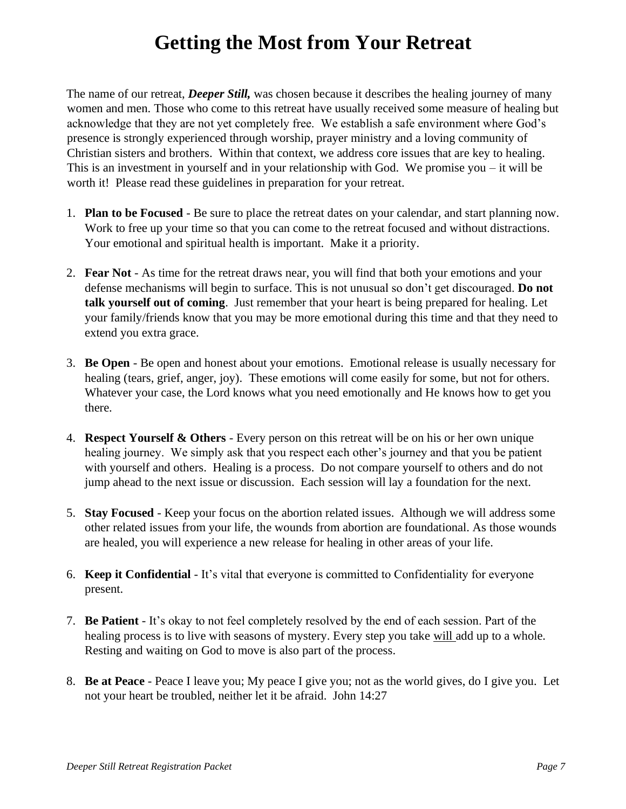### **Getting the Most from Your Retreat**

The name of our retreat, *Deeper Still,* was chosen because it describes the healing journey of many women and men. Those who come to this retreat have usually received some measure of healing but acknowledge that they are not yet completely free. We establish a safe environment where God's presence is strongly experienced through worship, prayer ministry and a loving community of Christian sisters and brothers. Within that context, we address core issues that are key to healing. This is an investment in yourself and in your relationship with God. We promise you – it will be worth it! Please read these guidelines in preparation for your retreat.

- 1. **Plan to be Focused** Be sure to place the retreat dates on your calendar, and start planning now. Work to free up your time so that you can come to the retreat focused and without distractions. Your emotional and spiritual health is important. Make it a priority.
- 2. **Fear Not** As time for the retreat draws near, you will find that both your emotions and your defense mechanisms will begin to surface. This is not unusual so don't get discouraged. **Do not talk yourself out of coming**. Just remember that your heart is being prepared for healing. Let your family/friends know that you may be more emotional during this time and that they need to extend you extra grace.
- 3. **Be Open** Be open and honest about your emotions. Emotional release is usually necessary for healing (tears, grief, anger, joy). These emotions will come easily for some, but not for others. Whatever your case, the Lord knows what you need emotionally and He knows how to get you there.
- 4. **Respect Yourself & Others** Every person on this retreat will be on his or her own unique healing journey. We simply ask that you respect each other's journey and that you be patient with yourself and others. Healing is a process. Do not compare yourself to others and do not jump ahead to the next issue or discussion. Each session will lay a foundation for the next.
- 5. **Stay Focused** Keep your focus on the abortion related issues. Although we will address some other related issues from your life, the wounds from abortion are foundational. As those wounds are healed, you will experience a new release for healing in other areas of your life.
- 6. **Keep it Confidential** It's vital that everyone is committed to Confidentiality for everyone present.
- 7. **Be Patient** It's okay to not feel completely resolved by the end of each session. Part of the healing process is to live with seasons of mystery. Every step you take will add up to a whole. Resting and waiting on God to move is also part of the process.
- 8. **Be at Peace** Peace I leave you; My peace I give you; not as the world gives, do I give you. Let not your heart be troubled, neither let it be afraid. John 14:27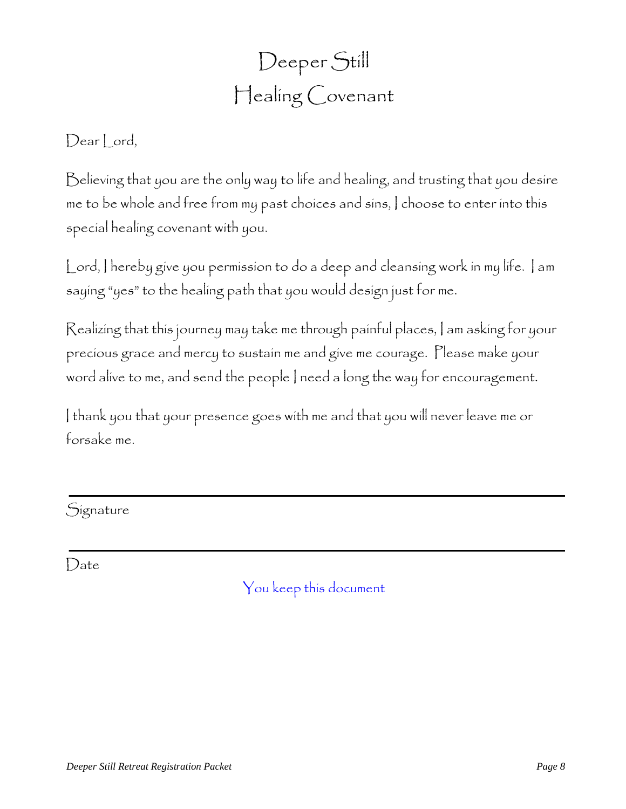# Deeper Still Healing Covenant

### Dear Lord,

Believing that you are the only way to life and healing, and trusting that you desire me to be whole and free from my past choices and sins, I choose to enter into this special healing covenant with you.

Lord, I hereby give you permission to do a deep and cleansing work in my life. I am saying "yes" to the healing path that you would design just for me.

Realizing that this journey may take me through painful places, I am asking for your precious grace and mercy to sustain me and give me courage. Please make your word alive to me, and send the people I need a long the way for encouragement.

I thank you that your presence goes with me and that you will never leave me or forsake me.

### **Signature**

Date

You keep this document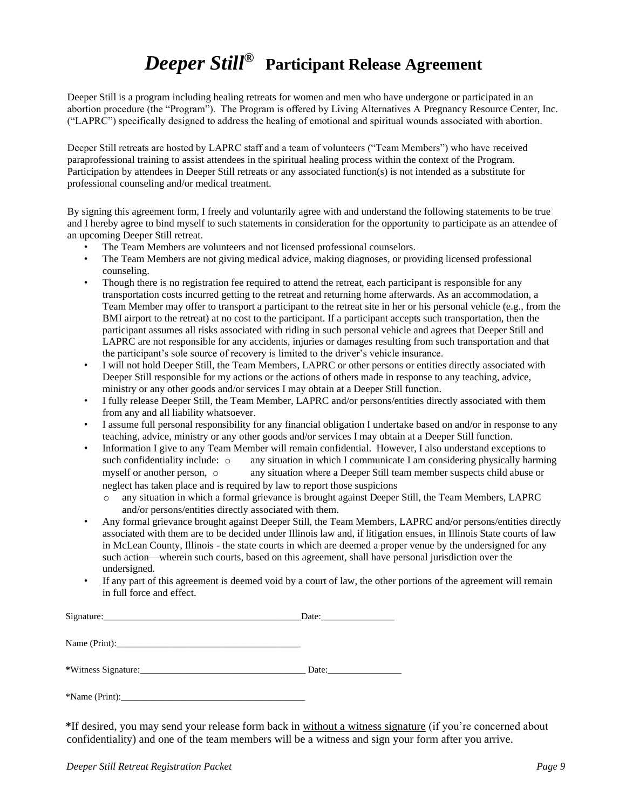### *Deeper Still®* **Participant Release Agreement**

Deeper Still is a program including healing retreats for women and men who have undergone or participated in an abortion procedure (the "Program"). The Program is offered by Living Alternatives A Pregnancy Resource Center, Inc. ("LAPRC") specifically designed to address the healing of emotional and spiritual wounds associated with abortion.

Deeper Still retreats are hosted by LAPRC staff and a team of volunteers ("Team Members") who have received paraprofessional training to assist attendees in the spiritual healing process within the context of the Program. Participation by attendees in Deeper Still retreats or any associated function(s) is not intended as a substitute for professional counseling and/or medical treatment.

By signing this agreement form, I freely and voluntarily agree with and understand the following statements to be true and I hereby agree to bind myself to such statements in consideration for the opportunity to participate as an attendee of an upcoming Deeper Still retreat.

- The Team Members are volunteers and not licensed professional counselors.
- The Team Members are not giving medical advice, making diagnoses, or providing licensed professional counseling.
- Though there is no registration fee required to attend the retreat, each participant is responsible for any transportation costs incurred getting to the retreat and returning home afterwards. As an accommodation, a Team Member may offer to transport a participant to the retreat site in her or his personal vehicle (e.g., from the BMI airport to the retreat) at no cost to the participant. If a participant accepts such transportation, then the participant assumes all risks associated with riding in such personal vehicle and agrees that Deeper Still and LAPRC are not responsible for any accidents, injuries or damages resulting from such transportation and that the participant's sole source of recovery is limited to the driver's vehicle insurance.
- I will not hold Deeper Still, the Team Members, LAPRC or other persons or entities directly associated with Deeper Still responsible for my actions or the actions of others made in response to any teaching, advice, ministry or any other goods and/or services I may obtain at a Deeper Still function.
- I fully release Deeper Still, the Team Member, LAPRC and/or persons/entities directly associated with them from any and all liability whatsoever.
- I assume full personal responsibility for any financial obligation I undertake based on and/or in response to any teaching, advice, ministry or any other goods and/or services I may obtain at a Deeper Still function.
- Information I give to any Team Member will remain confidential. However, I also understand exceptions to such confidentiality include:  $\circ$  any situation in which I communicate I am considering physically harming any situation in which I communicate I am considering physically harming myself or another person, o any situation where a Deeper Still team member suspects child abuse or neglect has taken place and is required by law to report those suspicions
	- o any situation in which a formal grievance is brought against Deeper Still, the Team Members, LAPRC and/or persons/entities directly associated with them.
- Any formal grievance brought against Deeper Still, the Team Members, LAPRC and/or persons/entities directly associated with them are to be decided under Illinois law and, if litigation ensues, in Illinois State courts of law in McLean County, Illinois - the state courts in which are deemed a proper venue by the undersigned for any such action—wherein such courts, based on this agreement, shall have personal jurisdiction over the undersigned.
- If any part of this agreement is deemed void by a court of law, the other portions of the agreement will remain in full force and effect.

|                | Date: |
|----------------|-------|
|                |       |
|                |       |
| *Name (Print): |       |

**\***If desired, you may send your release form back in without a witness signature (if you're concerned about confidentiality) and one of the team members will be a witness and sign your form after you arrive.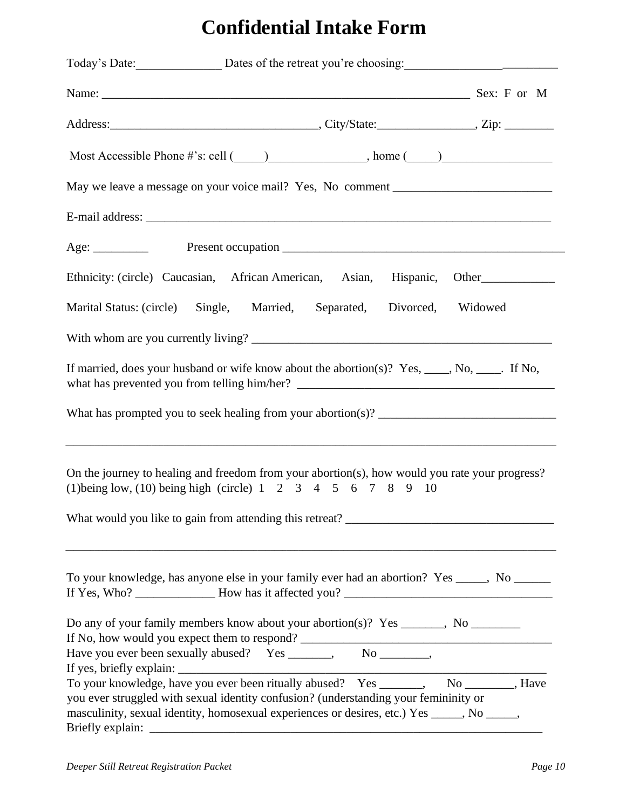# **Confidential Intake Form**

|                                                                                                                                                                                                                                                                          |  |                           | Today's Date: Dates of the retreat you're choosing:                               |
|--------------------------------------------------------------------------------------------------------------------------------------------------------------------------------------------------------------------------------------------------------------------------|--|---------------------------|-----------------------------------------------------------------------------------|
|                                                                                                                                                                                                                                                                          |  |                           |                                                                                   |
|                                                                                                                                                                                                                                                                          |  |                           |                                                                                   |
|                                                                                                                                                                                                                                                                          |  |                           | Most Accessible Phone #'s: cell $(\_\_\_\_\_$ . home $(\_\_\_\_\_$                |
|                                                                                                                                                                                                                                                                          |  |                           | May we leave a message on your voice mail? Yes, No comment ______________________ |
|                                                                                                                                                                                                                                                                          |  |                           |                                                                                   |
|                                                                                                                                                                                                                                                                          |  |                           |                                                                                   |
|                                                                                                                                                                                                                                                                          |  |                           | Ethnicity: (circle) Caucasian, African American, Asian, Hispanic, Other           |
| Marital Status: (circle) Single, Married, Separated, Divorced, Widowed                                                                                                                                                                                                   |  |                           |                                                                                   |
|                                                                                                                                                                                                                                                                          |  |                           |                                                                                   |
| If married, does your husband or wife know about the abortion(s)? Yes, ____, No, ____. If No,                                                                                                                                                                            |  |                           |                                                                                   |
|                                                                                                                                                                                                                                                                          |  |                           |                                                                                   |
| On the journey to healing and freedom from your abortion(s), how would you rate your progress?<br>(1) being low, (10) being high (circle) $1 \t2 \t3 \t4 \t5 \t6 \t7 \t8 \t9 \t10$                                                                                       |  |                           | ,我们也不能在这里的时候,我们也不能在这里的时候,我们也不能会在这里,我们也不能会在这里的时候,我们也不能会在这里的时候,我们也不能会在这里的时候,我们也不能会  |
| To your knowledge, has anyone else in your family ever had an abortion? Yes _____, No ______                                                                                                                                                                             |  |                           |                                                                                   |
| Do any of your family members know about your abortion(s)? Yes ______, No _________<br>Have you ever been sexually abused? Yes _______,                                                                                                                                  |  | $No$ <sub>_______</sub> , |                                                                                   |
| To your knowledge, have you ever been ritually abused? Yes ______, No _______, Have<br>you ever struggled with sexual identity confusion? (understanding your femininity or<br>masculinity, sexual identity, homosexual experiences or desires, etc.) Yes ____, No ____, |  |                           |                                                                                   |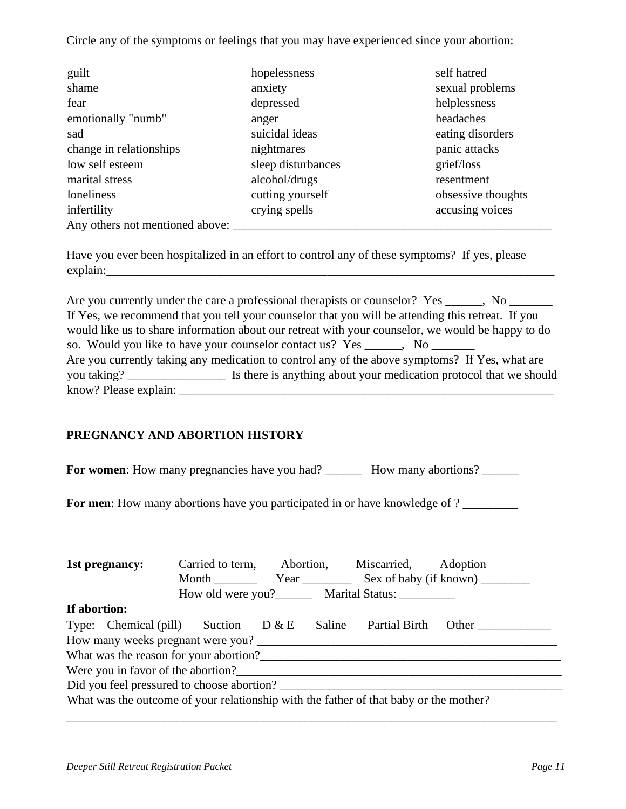Circle any of the symptoms or feelings that you may have experienced since your abortion:

| guilt                           | hopelessness       | self hatred        |
|---------------------------------|--------------------|--------------------|
| shame                           | anxiety            | sexual problems    |
| fear                            | depressed          | helplessness       |
| emotionally "numb"              | anger              | headaches          |
| sad                             | suicidal ideas     | eating disorders   |
| change in relationships         | nightmares         | panic attacks      |
| low self esteem                 | sleep disturbances | grief/loss         |
| marital stress                  | alcohol/drugs      | resentment         |
| loneliness                      | cutting yourself   | obsessive thoughts |
| infertility                     | crying spells      | accusing voices    |
| Any others not mentioned above: |                    |                    |

Have you ever been hospitalized in an effort to control any of these symptoms? If yes, please explain:

Are you currently under the care a professional therapists or counselor? Yes \_\_\_\_\_, No \_\_\_\_\_\_\_ If Yes, we recommend that you tell your counselor that you will be attending this retreat. If you would like us to share information about our retreat with your counselor, we would be happy to do so. Would you like to have your counselor contact us? Yes \_\_\_\_\_, No \_\_\_\_\_\_\_ Are you currently taking any medication to control any of the above symptoms? If Yes, what are you taking? \_\_\_\_\_\_\_\_\_\_\_\_\_\_\_\_\_\_\_\_\_\_\_\_ Is there is anything about your medication protocol that we should know? Please explain:

#### **PREGNANCY AND ABORTION HISTORY**

**For women**: How many pregnancies have you had? \_\_\_\_\_\_\_\_ How many abortions? \_\_\_\_\_\_

**For men**: How many abortions have you participated in or have knowledge of ?

| 1st pregnancy:                                                                        | Carried to term,                                      |        | Abortion, Miscarried, | Adoption                                      |
|---------------------------------------------------------------------------------------|-------------------------------------------------------|--------|-----------------------|-----------------------------------------------|
|                                                                                       |                                                       |        |                       | Month <u>Vear</u> Year Sex of baby (if known) |
|                                                                                       | How old were you?_________ Marital Status: __________ |        |                       |                                               |
| If abortion:                                                                          |                                                       |        |                       |                                               |
| Type: Chemical (pill) Suction $D \& E$                                                |                                                       | Saline | <b>Partial Birth</b>  | Other                                         |
|                                                                                       |                                                       |        |                       |                                               |
| What was the reason for your abortion?                                                |                                                       |        |                       |                                               |
| Were you in favor of the abortion?                                                    |                                                       |        |                       |                                               |
| Did you feel pressured to choose abortion?                                            |                                                       |        |                       |                                               |
| What was the outcome of your relationship with the father of that baby or the mother? |                                                       |        |                       |                                               |
|                                                                                       |                                                       |        |                       |                                               |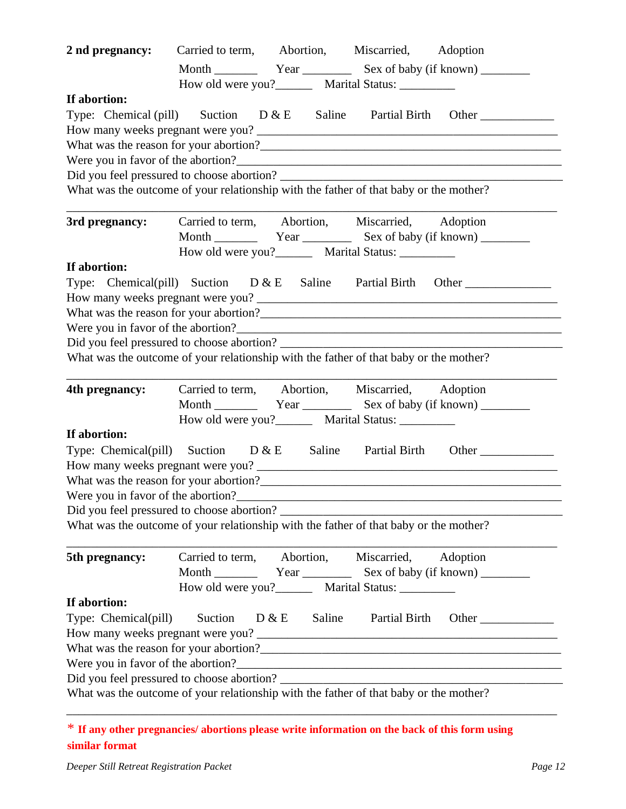| 2 nd pregnancy:                                                                                                                     | Carried to term, Abortion, Miscarried, Adoption |                                        |                                                         |                                                                                     |
|-------------------------------------------------------------------------------------------------------------------------------------|-------------------------------------------------|----------------------------------------|---------------------------------------------------------|-------------------------------------------------------------------------------------|
|                                                                                                                                     |                                                 |                                        |                                                         |                                                                                     |
|                                                                                                                                     |                                                 |                                        | How old were you?__________ Marital Status: ___________ |                                                                                     |
| If abortion:                                                                                                                        |                                                 |                                        |                                                         |                                                                                     |
|                                                                                                                                     |                                                 |                                        |                                                         | Type: Chemical (pill) Suction $D \& E$ Saline Partial Birth Other                   |
|                                                                                                                                     |                                                 |                                        |                                                         |                                                                                     |
|                                                                                                                                     |                                                 |                                        |                                                         |                                                                                     |
|                                                                                                                                     |                                                 |                                        |                                                         |                                                                                     |
|                                                                                                                                     |                                                 |                                        |                                                         |                                                                                     |
| What was the outcome of your relationship with the father of that baby or the mother?                                               |                                                 |                                        |                                                         |                                                                                     |
|                                                                                                                                     |                                                 |                                        |                                                         |                                                                                     |
| 3rd pregnancy:                                                                                                                      |                                                 |                                        | Carried to term, Abortion, Miscarried, Adoption         |                                                                                     |
|                                                                                                                                     |                                                 |                                        |                                                         |                                                                                     |
|                                                                                                                                     |                                                 |                                        | How old were you?_________ Marital Status: __________   |                                                                                     |
| If abortion:                                                                                                                        |                                                 |                                        |                                                         |                                                                                     |
|                                                                                                                                     |                                                 |                                        |                                                         | Type: Chemical(pill) Suction $D \& E$ Saline Partial Birth Other                    |
|                                                                                                                                     |                                                 |                                        |                                                         |                                                                                     |
|                                                                                                                                     |                                                 |                                        |                                                         |                                                                                     |
| Did you feel pressured to choose abortion?                                                                                          |                                                 |                                        |                                                         |                                                                                     |
| What was the outcome of your relationship with the father of that baby or the mother?                                               |                                                 |                                        |                                                         |                                                                                     |
|                                                                                                                                     |                                                 |                                        |                                                         |                                                                                     |
| 4th pregnancy:                                                                                                                      |                                                 |                                        | Carried to term, Abortion, Miscarried, Adoption         |                                                                                     |
|                                                                                                                                     |                                                 |                                        |                                                         |                                                                                     |
|                                                                                                                                     |                                                 |                                        | How old were you?_________ Marital Status: __________   |                                                                                     |
| If abortion:                                                                                                                        |                                                 |                                        |                                                         |                                                                                     |
|                                                                                                                                     |                                                 |                                        |                                                         | Type: Chemical(pill) Suction $D \& E$ Saline Partial Birth Other                    |
|                                                                                                                                     |                                                 |                                        |                                                         |                                                                                     |
|                                                                                                                                     |                                                 |                                        |                                                         |                                                                                     |
|                                                                                                                                     |                                                 |                                        |                                                         |                                                                                     |
| Were you in favor of the abortion?                                                                                                  |                                                 |                                        |                                                         |                                                                                     |
|                                                                                                                                     |                                                 |                                        |                                                         |                                                                                     |
| Did you feel pressured to choose abortion?<br>What was the outcome of your relationship with the father of that baby or the mother? |                                                 |                                        |                                                         |                                                                                     |
|                                                                                                                                     |                                                 |                                        |                                                         |                                                                                     |
| 5th pregnancy:                                                                                                                      |                                                 | Carried to term, Abortion, Miscarried, |                                                         | Adoption                                                                            |
|                                                                                                                                     |                                                 |                                        |                                                         |                                                                                     |
|                                                                                                                                     |                                                 |                                        | How old were you? Marital Status:                       |                                                                                     |
| If abortion:                                                                                                                        |                                                 |                                        |                                                         |                                                                                     |
| Type: Chemical(pill)                                                                                                                | Suction                                         | $D \& E$ Saline                        |                                                         | Partial Birth Other                                                                 |
|                                                                                                                                     |                                                 |                                        |                                                         |                                                                                     |
|                                                                                                                                     |                                                 |                                        |                                                         |                                                                                     |
|                                                                                                                                     |                                                 |                                        |                                                         | Were you in favor of the abortion?<br>The manufactured and the set of the abortion? |
| What was the outcome of your relationship with the father of that baby or the mother?                                               |                                                 |                                        |                                                         | Did you feel pressured to choose abortion?                                          |

<sup>\*</sup> **If any other pregnancies/ abortions please write information on the back of this form using similar format**